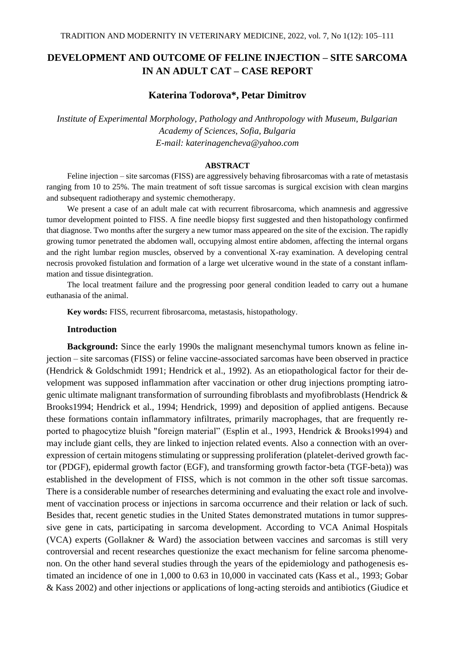# **DEVELOPMENT AND OUTCOME OF FELINE INJECTION – SITE SARCOMA IN AN ADULT CAT – CASE REPORT**

## **Katerina Todorova\*, Petar Dimitrov**

*Institute of Experimental Morphology, Pathology and Anthropology with Museum, Bulgarian Academy of Sciences, Sofia, Bulgaria E-mail: katerinagencheva@yahoo.com*

## **ABSTRACT**

Feline injection – site sarcomas (FISS) are aggressively behaving fibrosarcomas with a rate of metastasis ranging from 10 to 25%. The main treatment of soft tissue sarcomas is surgical excision with clean margins and subsequent radiotherapy and systemic chemotherapy.

We present a case of an adult male cat with recurrent fibrosarcoma, which anamnesis and aggressive tumor development pointed to FISS. A fine needle biopsy first suggested and then histopathology confirmed that diagnose. Two months after the surgery a new tumor mass appeared on the site of the excision. The rapidly growing tumor penetrated the abdomen wall, occupying almost entire abdomen, affecting the internal organs and the right lumbar region muscles, observed by a conventional X-ray examination. A developing central necrosis provoked fistulation and formation of a large wet ulcerative wound in the state of a constant inflammation and tissue disintegration.

The local treatment failure and the progressing poor general condition leaded to carry out a humane euthanasia of the animal.

**Key words:** FISS, recurrent fibrosarcoma, metastasis, histopathology.

#### **Introduction**

**Background:** Since the early 1990s the malignant mesenchymal tumors known as feline injection – site sarcomas (FISS) or feline vaccine-associated sarcomas have been observed in practice (Hendrick & Goldschmidt 1991; Hendrick et al., 1992). As an etiopathological factor for their development was supposed inflammation after vaccination or other drug injections prompting iatrogenic ultimate malignant transformation of surrounding fibroblasts and myofibroblasts (Hendrick & Brooks1994; Hendrick et al., 1994; Hendrick, 1999) and deposition of applied antigens. Because these formations contain inflammatory infiltrates, primarily macrophages, that are frequently reported to phagocytize bluish "foreign material" (Esplin et al., 1993, Hendrick & Brooks1994) and may include giant cells, they are linked to injection related events. Also a connection with an overexpression of certain mitogens stimulating or suppressing proliferation (platelet-derived growth factor (PDGF), epidermal growth factor (EGF), and transforming growth factor-beta (TGF-beta)) was established in the development of FISS, which is not common in the other soft tissue sarcomas. There is a considerable number of researches determining and evaluating the exact role and involvement of vaccination process or injections in sarcoma occurrence and their relation or lack of such. Besides that, recent genetic studies in the United States demonstrated mutations in tumor suppressive gene in cats, participating in sarcoma development. According to VCA Animal Hospitals (VCA) experts (Gollakner & Ward) the association between vaccines and sarcomas is still very controversial and recent researches questionize the exact mechanism for feline sarcoma phenomenon. On the other hand several studies through the years of the epidemiology and pathogenesis estimated an incidence of one in 1,000 to 0.63 in 10,000 in vaccinated cats (Kass et al., 1993; Gobar & Kass 2002) and other injections or applications of long-acting steroids and antibiotics (Giudice et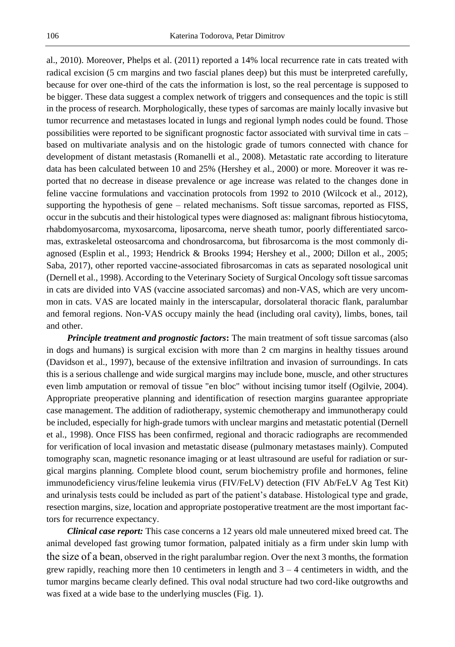al., 2010). Moreover, Phelps et al. (2011) reported a 14% local recurrence rate in cats treated with radical excision (5 cm margins and two fascial planes deep) but this must be interpreted carefully, because for over one-third of the cats the information is lost, so the real percentage is supposed to be bigger. These data suggest a complex network of triggers and consequences and the topic is still in the process of research. Morphologically, these types of sarcomas are mainly locally invasive but tumor recurrence and metastases located in lungs and regional lymph nodes could be found. Those possibilities were reported to be significant prognostic factor associated with survival time in cats – based on multivariate analysis and on the histologic grade of tumors connected with chance for development of distant metastasis (Romanelli et al., 2008). Metastatic rate according to literature data has been calculated between 10 and 25% (Hershey et al., 2000) or more. Moreover it was reported that no decrease in disease prevalence or age increase was related to the changes done in feline vaccine formulations and vaccination protocols from 1992 to 2010 (Wilcock et al., 2012), supporting the hypothesis of gene – related mechanisms. Soft tissue sarcomas, reported as FISS, occur in the subcutis and their histological types were diagnosed as: malignant fibrous histiocytoma, rhabdomyosarcoma, myxosarcoma, liposarcoma, nerve sheath tumor, poorly differentiated sarcomas, extraskeletal osteosarcoma and chondrosarcoma, but fibrosarcoma is the most commonly diagnosed (Esplin et al., 1993; Hendrick & Brooks 1994; Hershey et al., 2000; Dillon et al., 2005; Saba, 2017), other reported vaccine-associated fibrosarcomas in cats as separated nosological unit (Dernell et al., 1998). According to the Veterinary Society of Surgical Oncology soft tissue sarcomas in cats are divided into VAS (vaccine associated sarcomas) and non-VAS, which are very uncommon in cats. VAS are located mainly in the interscapular, dorsolateral thoracic flank, paralumbar and femoral regions. Non-VAS occupy mainly the head (including oral cavity), limbs, bones, tail and other.

*Principle treatment and prognostic factors***:** The main treatment of soft tissue sarcomas (also in dogs and humans) is surgical excision with more than 2 cm margins in healthy tissues around (Davidson et al., 1997), because of the extensive infiltration and invasion of surroundings. In cats this is a serious challenge and wide surgical margins may include bone, muscle, and other structures even limb amputation or removal of tissue "en bloc" without incising tumor itself (Ogilvie, 2004). Appropriate preoperative planning and identification of resection margins guarantee appropriate case management. The addition of radiotherapy, systemic chemotherapy and immunotherapy could be included, especially for high-grade tumors with unclear margins and metastatic potential (Dernell et al., 1998). Once FISS has been confirmed, regional and thoracic radiographs are recommended for verification of local invasion and metastatic disease (pulmonary metastases mainly). Computed tomography scan, magnetic resonance imaging or at least ultrasound are useful for radiation or surgical margins planning. Complete blood count, serum biochemistry profile and hormones, feline immunodeficiency virus/feline leukemia virus (FIV/FeLV) detection (FIV Ab/FeLV Ag Test Kit) and urinalysis tests could be included as part of the patient's database. Histological type and grade, resection margins, size, location and appropriate postoperative treatment are the most important factors for recurrence expectancy.

*Clinical case report:* This case concerns a 12 years old male unneutered mixed breed cat. The animal developed fast growing tumor formation, palpated initialy as a firm under skin lump with the size of a bean, observed in the right paralumbar region. Over the next 3 months, the formation grew rapidly, reaching more then 10 centimeters in length and  $3 - 4$  centimeters in width, and the tumor margins became clearly defined. This oval nodal structure had two cord-like outgrowths and was fixed at a wide base to the underlying muscles (Fig. 1).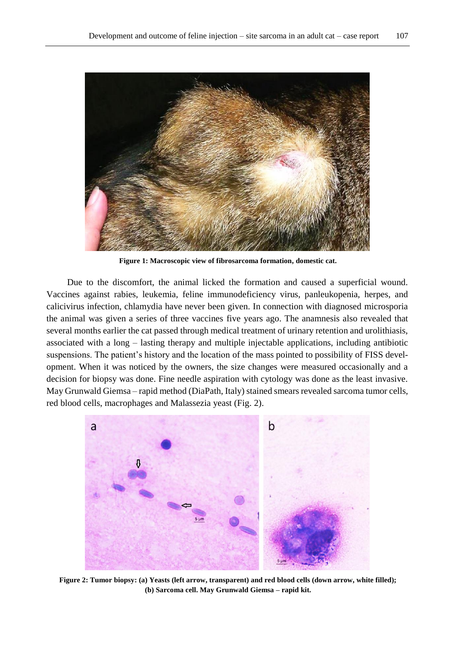

**Figure 1: Macroscopic view of fibrosarcoma formation, domestic cat.**

Due to the discomfort, the animal licked the formation and caused a superficial wound. Vaccines against rabies, leukemia, feline immunodeficiency virus, panleukopenia, herpes, and calicivirus infection, chlamydia have never been given. In connection with diagnosed microsporia the animal was given a series of three vaccines five years ago. The anamnesis also revealed that several months earlier the cat passed through medical treatment of urinary retention and urolithiasis, associated with a long – lasting therapy and multiple injectable applications, including antibiotic suspensions. The patient's history and the location of the mass pointed to possibility of FISS development. When it was noticed by the owners, the size changes were measured occasionally and a decision for biopsy was done. Fine needle aspiration with cytology was done as the least invasive. May Grunwald Giemsa – rapid method (DiaPath, Italy) stained smears revealed sarcoma tumor cells, red blood cells, macrophages and Malassezia yeast (Fig. 2).



**Figure 2: Tumor biopsy: (a) Yeasts (left arrow, transparent) and red blood cells (down arrow, white filled); (b) Sarcoma cell. May Grunwald Giemsa – rapid kit.**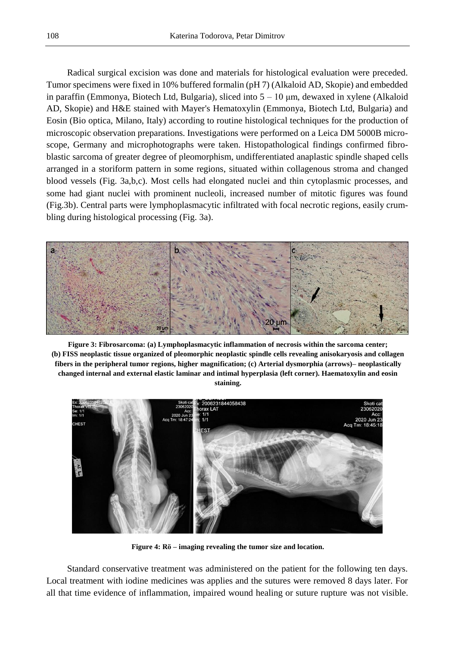Radical surgical excision was done and materials for histological evaluation were preceded. Tumor specimens were fixed in 10% buffered formalin (pH 7) (Alkaloid AD, Skopie) and embedded in paraffin (Emmonya, Biotech Ltd, Bulgaria), sliced into  $5 - 10 \mu m$ , dewaxed in xylene (Alkaloid AD, Skopie) and H&E stained with Mayer's Hematoxylin (Emmonya, Biotech Ltd, Bulgaria) and Eosin (Bio optica, Milano, Italy) according to routine histological techniques for the production of microscopic observation preparations. Investigations were performed on a Leica DM 5000B microscope, Germany and microphotographs were taken. Histopathological findings confirmed fibroblastic sarcoma of greater degree of pleomorphism, undifferentiated anaplastic spindle shaped cells arranged in a storiform pattern in some regions, situated within collagenous stroma and changed blood vessels (Fig. 3a,b,c). Most cells had elongated nuclei and thin cytoplasmic processes, and some had giant nuclei with prominent nucleoli, increased number of mitotic figures was found (Fig.3b). Central parts were lymphoplasmacytic infiltrated with focal necrotic regions, easily crumbling during histological processing (Fig. 3a).



**Figure 3: Fibrosarcoma: (a) Lymphoplasmacytic inflammation of necrosis within the sarcoma center; (b) FISS neoplastic tissue organized of pleomorphic neoplastic spindle cells revealing anisokaryosis and collagen fibers in the peripheral tumor regions, higher magnification; (c) Arterial dysmorphia (arrows)– neoplastically changed internal and external elastic laminar and intimal hyperplasia (left corner). Haematoxylin and eosin staining.**



**Figure 4: Rӧ – imaging revealing the tumor size and location.**

Standard conservative treatment was administered on the patient for the following ten days. Local treatment with iodine medicines was applies and the sutures were removed 8 days later. For all that time evidence of inflammation, impaired wound healing or suture rupture was not visible.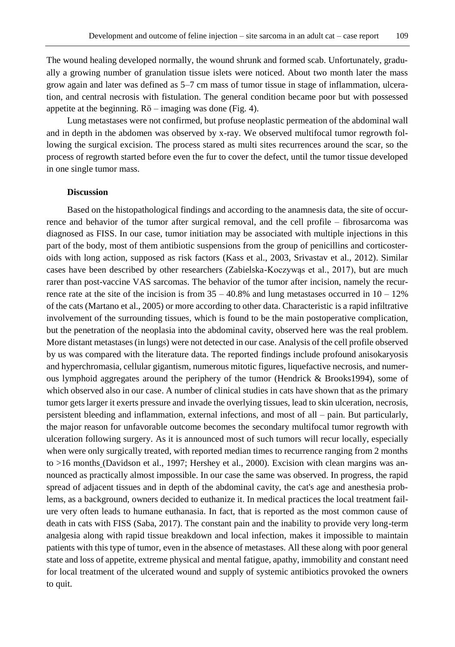The wound healing developed normally, the wound shrunk and formed scab. Unfortunately, gradually a growing number of granulation tissue islets were noticed. About two month later the mass grow again and later was defined as 5–7 cm mass of tumor tissue in stage of inflammation, ulceration, and central necrosis with fistulation. The general condition became poor but with possessed appetite at the beginning. Rӧ – imaging was done (Fig. 4).

Lung metastases were not confirmed, but profuse neoplastic permeation of the abdominal wall and in depth in the abdomen was observed by x-ray. We observed multifocal tumor regrowth following the surgical excision. The process stared as multi sites recurrences around the scar, so the process of regrowth started before even the fur to cover the defect, until the tumor tissue developed in one single tumor mass.

## **Discussion**

Based on the histopathological findings and according to the anamnesis data, the site of occurrence and behavior of the tumor after surgical removal, and the cell profile – fibrosarcoma was diagnosed as FISS. In our case, tumor initiation may be associated with multiple injections in this part of the body, most of them antibiotic suspensions from the group of penicillins and corticosteroids with long action, supposed as risk factors (Kass et al., 2003, Srivastav et al., 2012). Similar cases have been described by other researchers (Zabielska-Koczywąs et al., 2017), but are much rarer than post-vaccine VAS sarcomas. The behavior of the tumor after incision, namely the recurrence rate at the site of the incision is from  $35 - 40.8\%$  and lung metastases occurred in  $10 - 12\%$ of the cats (Martano et al., 2005) or more according to other data. Characteristic is a rapid infiltrative involvement of the surrounding tissues, which is found to be the main postoperative complication, but the penetration of the neoplasia into the abdominal cavity, observed here was the real problem. More distant metastases (in lungs) were not detected in our case. Analysis of the cell profile observed by us was compared with the literature data. The reported findings include profound anisokaryosis and hyperchromasia, cellular gigantism, numerous mitotic figures, liquefactive necrosis, and numerous lymphoid aggregates around the periphery of the tumor (Hendrick & Brooks1994), some of which observed also in our case. A number of clinical studies in cats have shown that as the primary tumor gets larger it exerts pressure and invade the overlying tissues, lead to skin ulceration, necrosis, persistent bleeding and inflammation, external infections, and most of all – pain. But particularly, the major reason for unfavorable outcome becomes the secondary multifocal tumor regrowth with ulceration following surgery. As it is announced most of such tumors will recur locally, especially when were only surgically treated, with reported median times to recurrence ranging from 2 months to >16 months (Davidson et al., 1997; Hershey et al., 2000). Excision with clean margins was announced as practically almost impossible. In our case the same was observed. In progress, the rapid spread of adjacent tissues and in depth of the abdominal cavity, the cat's age and anesthesia problems, as a background, owners decided to euthanize it. In medical practices the local treatment failure very often leads to humane euthanasia. In fact, that is reported as the most common cause of death in cats with FISS (Saba, 2017). The constant pain and the inability to provide very long-term analgesia along with rapid tissue breakdown and local infection, makes it impossible to maintain patients with this type of tumor, even in the absence of metastases. All these along with poor general state and loss of appetite, extreme physical and mental fatigue, apathy, immobility and constant need for local treatment of the ulcerated wound and supply of systemic antibiotics provoked the owners to quit.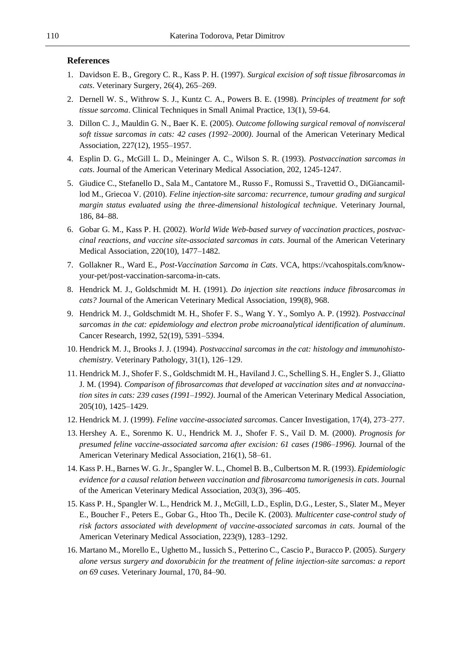## **References**

- 1. Davidson E. B., Gregory C. R., Kass P. H. (1997). *Surgical excision of soft tissue fibrosarcomas in cats*. Veterinary Surgery, 26(4), 265–269.
- 2. Dernell W. S., Withrow S. J., Kuntz C. A., Powers B. E. (1998). *Principles of treatment for soft tissue sarcoma*. Clinical Techniques in Small Animal Practice, 13(1), 59-64.
- 3. Dillon C. J., Mauldin G. N., Baer K. E. (2005). *Outcome following surgical removal of nonvisceral soft tissue sarcomas in cats: 42 cases (1992–2000)*. Journal of the American Veterinary Medical Association, 227(12), 1955–1957.
- 4. Esplin D. G., McGill L. D., Meininger A. C., Wilson S. R. (1993). *Postvaccination sarcomas in cats*. Journal of the American Veterinary Medical Association, 202, 1245-1247.
- 5. Giudice C., Stefanello D., Sala M., Cantatore M., Russo F., Romussi S., Travettid O., DiGiancamillod M., Griecoa V. (2010). *Feline injection-site sarcoma: recurrence, tumour grading and surgical margin status evaluated using the three-dimensional histological technique*. Veterinary Journal, 186, 84–88.
- 6. Gobar G. M., Kass P. H. (2002). *World Wide Web-based survey of vaccination practices, postvaccinal reactions, and vaccine site-associated sarcomas in cats*. Journal of the American Veterinary Medical Association, 220(10), 1477–1482.
- 7. Gollakner R., Ward E., *Post-Vaccination Sarcoma in Cats*. VCA, https://vcahospitals.com/knowyour-pet/post-vaccination-sarcoma-in-cats.
- 8. Hendrick M. J., Goldschmidt M. H. (1991). *Do injection site reactions induce fibrosarcomas in cats?* Journal of the American Veterinary Medical Association, 199(8), 968.
- 9. Hendrick M. J., Goldschmidt M. H., Shofer F. S., Wang Y. Y., Somlyo A. P. (1992). *Postvaccinal sarcomas in the cat: epidemiology and electron probe microanalytical identification of aluminum*. Cancer Research, 1992, 52(19), 5391–5394.
- 10. Hendrick M. J., Brooks J. J. (1994). *Postvaccinal sarcomas in the cat: histology and immunohistochemistry*. Veterinary Pathology, 31(1), 126–129.
- 11. Hendrick M. J., Shofer F. S., Goldschmidt M. H., Haviland J. C., Schelling S. H., Engler S. J., Gliatto J. M. (1994). *Comparison of fibrosarcomas that developed at vaccination sites and at nonvaccination sites in cats: 239 cases (1991*–*1992)*. Journal of the American Veterinary Medical Association, 205(10), 1425–1429.
- 12. Hendrick M. J. (1999). *Feline vaccine-associated sarcomas*. Cancer Investigation, 17(4), 273–277.
- 13. Hershey A. E., Sorenmo K. U., Hendrick M. J., Shofer F. S., Vail D. M. (2000). *Prognosis for presumed feline vaccine-associated sarcoma after excision: 61 cases (1986–1996).* Journal of the American Veterinary Medical Association, 216(1), 58–61.
- 14. Kass P. H., Barnes W. G. Jr., Spangler W. L., Chomel B. B., Culbertson M. R. (1993). *Epidemiologic evidence for a causal relation between vaccination and fibrosarcoma tumorigenesis in cats*. Journal of the American Veterinary Medical Association, 203(3), 396–405.
- 15. Kass P. H., Spangler W. L., Hendrick M. J., McGill, L.D., Esplin, D.G., Lester, S., Slater M., Meyer E., Boucher F., Peters E., Gobar G., Htoo Th., Decile K. (2003). *Multicenter case-control study of risk factors associated with development of vaccine-associated sarcomas in cats*. Journal of the American Veterinary Medical Association, 223(9), 1283–1292.
- 16. Martano M., Morello E., Ughetto M., Iussich S., Petterino C., Cascio P., Buracco P. (2005). *Surgery alone versus surgery and doxorubicin for the treatment of feline injection-site sarcomas: a report on 69 cases*. Veterinary Journal, 170, 84–90.